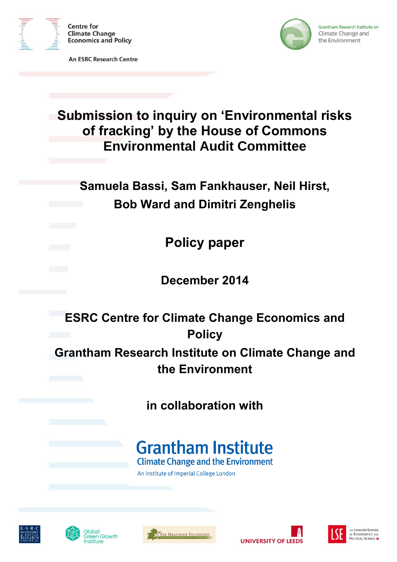

**An ESRC Research Centre** 



Grantham Research Institute on Climate Change and the Environment

# **Submission to inquiry on 'Environmental risks of fracking' by the House of Commons Environmental Audit Committee**

**Samuela Bassi, Sam Fankhauser, Neil Hirst, Bob Ward and Dimitri Zenghelis**

**Policy paper**

**December 2014**

**ESRC Centre for Climate Change Economics and Policy**

**Grantham Research Institute on Climate Change and the Environment**

**in collaboration with**

# **Grantham Institute**

**Climate Change and the Environment** 

An institute of Imperial College London









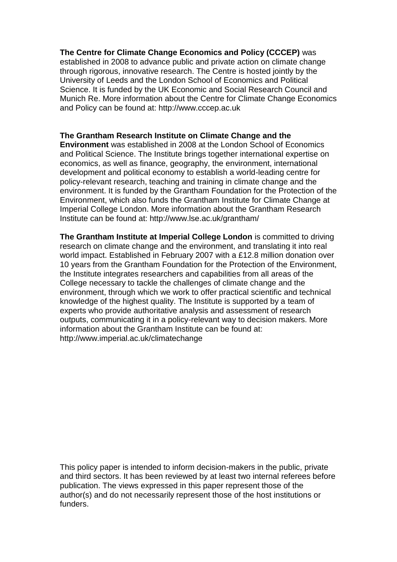#### **The Centre for Climate Change Economics and Policy (CCCEP)** was

established in 2008 to advance public and private action on climate change through rigorous, innovative research. The Centre is hosted jointly by the University of Leeds and the London School of Economics and Political Science. It is funded by the UK Economic and Social Research Council and Munich Re. More information about the Centre for Climate Change Economics and Policy can be found at: http://www.cccep.ac.uk

#### **The Grantham Research Institute on Climate Change and the**

**Environment** was established in 2008 at the London School of Economics and Political Science. The Institute brings together international expertise on economics, as well as finance, geography, the environment, international development and political economy to establish a world-leading centre for policy-relevant research, teaching and training in climate change and the environment. It is funded by the Grantham Foundation for the Protection of the Environment, which also funds the Grantham Institute for Climate Change at Imperial College London. More information about the Grantham Research Institute can be found at: http://www.lse.ac.uk/grantham/

**The Grantham Institute at Imperial College London** is committed to driving research on climate change and the environment, and translating it into real world impact. Established in February 2007 with a £12.8 million donation over 10 years from the Grantham Foundation for the Protection of the Environment, the Institute integrates researchers and capabilities from all areas of the College necessary to tackle the challenges of climate change and the environment, through which we work to offer practical scientific and technical knowledge of the highest quality. The Institute is supported by a team of experts who provide authoritative analysis and assessment of research outputs, communicating it in a policy-relevant way to decision makers. More information about the Grantham Institute can be found at: http://www.imperial.ac.uk/climatechange

This policy paper is intended to inform decision-makers in the public, private and third sectors. It has been reviewed by at least two internal referees before publication. The views expressed in this paper represent those of the author(s) and do not necessarily represent those of the host institutions or funders.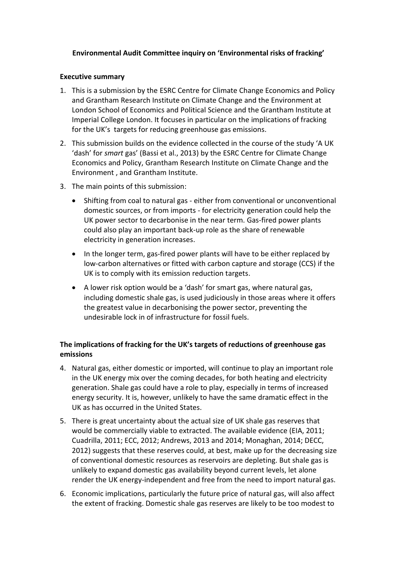### **Environmental Audit Committee inquiry on 'Environmental risks of fracking'**

#### **Executive summary**

- 1. This is a submission by the ESRC Centre for Climate Change Economics and Policy and Grantham Research Institute on Climate Change and the Environment at London School of Economics and Political Science and the Grantham Institute at Imperial College London. It focuses in particular on the implications of fracking for the UK's targets for reducing greenhouse gas emissions.
- 2. This submission builds on the evidence collected in the course of the study 'A UK 'dash' for *smart* gas' (Bassi et al., 2013) by the ESRC Centre for Climate Change Economics and Policy, Grantham Research Institute on Climate Change and the Environment , and Grantham Institute.
- 3. The main points of this submission:
	- Shifting from coal to natural gas either from conventional or unconventional domestic sources, or from imports - for electricity generation could help the UK power sector to decarbonise in the near term. Gas-fired power plants could also play an important back-up role as the share of renewable electricity in generation increases.
	- In the longer term, gas-fired power plants will have to be either replaced by low-carbon alternatives or fitted with carbon capture and storage (CCS) if the UK is to comply with its emission reduction targets.
	- A lower risk option would be a 'dash' for smart gas, where natural gas, including domestic shale gas, is used judiciously in those areas where it offers the greatest value in decarbonising the power sector, preventing the undesirable lock in of infrastructure for fossil fuels.

## **The implications of fracking for the UK's targets of reductions of greenhouse gas emissions**

- 4. Natural gas, either domestic or imported, will continue to play an important role in the UK energy mix over the coming decades, for both heating and electricity generation. Shale gas could have a role to play, especially in terms of increased energy security. It is, however, unlikely to have the same dramatic effect in the UK as has occurred in the United States.
- 5. There is great uncertainty about the actual size of UK shale gas reserves that would be commercially viable to extracted. The available evidence (EIA, 2011; Cuadrilla, 2011; ECC, 2012; Andrews, 2013 and 2014; Monaghan, 2014; DECC, 2012) suggests that these reserves could, at best, make up for the decreasing size of conventional domestic resources as reservoirs are depleting. But shale gas is unlikely to expand domestic gas availability beyond current levels, let alone render the UK energy-independent and free from the need to import natural gas.
- 6. Economic implications, particularly the future price of natural gas, will also affect the extent of fracking. Domestic shale gas reserves are likely to be too modest to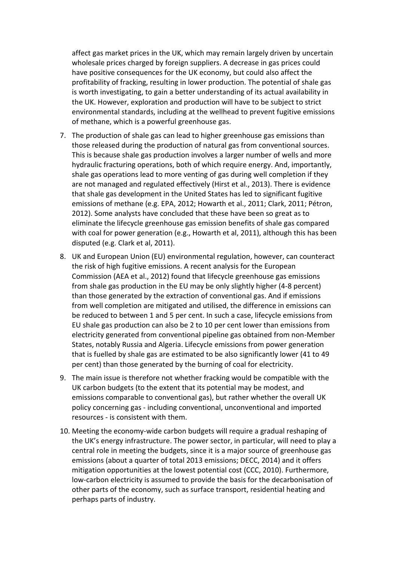affect gas market prices in the UK, which may remain largely driven by uncertain wholesale prices charged by foreign suppliers. A decrease in gas prices could have positive consequences for the UK economy, but could also affect the profitability of fracking, resulting in lower production. The potential of shale gas is worth investigating, to gain a better understanding of its actual availability in the UK. However, exploration and production will have to be subject to strict environmental standards, including at the wellhead to prevent fugitive emissions of methane, which is a powerful greenhouse gas.

- 7. The production of shale gas can lead to higher greenhouse gas emissions than those released during the production of natural gas from conventional sources. This is because shale gas production involves a larger number of wells and more hydraulic fracturing operations, both of which require energy. And, importantly, shale gas operations lead to more venting of gas during well completion if they are not managed and regulated effectively (Hirst et al., 2013). There is evidence that shale gas development in the United States has led to significant fugitive emissions of methane (e.g. EPA, 2012; Howarth et al., 2011; Clark, 2011; Pétron, 2012). Some analysts have concluded that these have been so great as to eliminate the lifecycle greenhouse gas emission benefits of shale gas compared with coal for power generation (e.g., Howarth et al, 2011), although this has been disputed (e.g. Clark et al, 2011).
- 8. UK and European Union (EU) environmental regulation, however, can counteract the risk of high fugitive emissions. A recent analysis for the European Commission (AEA et al., 2012) found that lifecycle greenhouse gas emissions from shale gas production in the EU may be only slightly higher (4-8 percent) than those generated by the extraction of conventional gas. And if emissions from well completion are mitigated and utilised, the difference in emissions can be reduced to between 1 and 5 per cent. In such a case, lifecycle emissions from EU shale gas production can also be 2 to 10 per cent lower than emissions from electricity generated from conventional pipeline gas obtained from non-Member States, notably Russia and Algeria. Lifecycle emissions from power generation that is fuelled by shale gas are estimated to be also significantly lower (41 to 49 per cent) than those generated by the burning of coal for electricity.
- 9. The main issue is therefore not whether fracking would be compatible with the UK carbon budgets (to the extent that its potential may be modest, and emissions comparable to conventional gas), but rather whether the overall UK policy concerning gas - including conventional, unconventional and imported resources - is consistent with them.
- 10. Meeting the economy-wide carbon budgets will require a gradual reshaping of the UK's energy infrastructure. The power sector, in particular, will need to play a central role in meeting the budgets, since it is a major source of greenhouse gas emissions (about a quarter of total 2013 emissions; DECC, 2014) and it offers mitigation opportunities at the lowest potential cost (CCC, 2010). Furthermore, low-carbon electricity is assumed to provide the basis for the decarbonisation of other parts of the economy, such as surface transport, residential heating and perhaps parts of industry.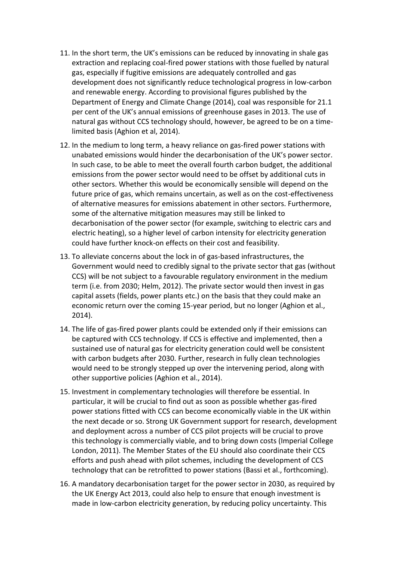- 11. In the short term, the UK's emissions can be reduced by innovating in shale gas extraction and replacing coal-fired power stations with those fuelled by natural gas, especially if fugitive emissions are adequately controlled and gas development does not significantly reduce technological progress in low-carbon and renewable energy. According to provisional figures published by the Department of Energy and Climate Change (2014), coal was responsible for 21.1 per cent of the UK's annual emissions of greenhouse gases in 2013. The use of natural gas without CCS technology should, however, be agreed to be on a timelimited basis (Aghion et al, 2014).
- 12. In the medium to long term, a heavy reliance on gas-fired power stations with unabated emissions would hinder the decarbonisation of the UK's power sector. In such case, to be able to meet the overall fourth carbon budget, the additional emissions from the power sector would need to be offset by additional cuts in other sectors. Whether this would be economically sensible will depend on the future price of gas, which remains uncertain, as well as on the cost-effectiveness of alternative measures for emissions abatement in other sectors. Furthermore, some of the alternative mitigation measures may still be linked to decarbonisation of the power sector (for example, switching to electric cars and electric heating), so a higher level of carbon intensity for electricity generation could have further knock-on effects on their cost and feasibility.
- 13. To alleviate concerns about the lock in of gas-based infrastructures, the Government would need to credibly signal to the private sector that gas (without CCS) will be not subject to a favourable regulatory environment in the medium term (i.e. from 2030; Helm, 2012). The private sector would then invest in gas capital assets (fields, power plants etc.) on the basis that they could make an economic return over the coming 15-year period, but no longer (Aghion et al., 2014).
- 14. The life of gas-fired power plants could be extended only if their emissions can be captured with CCS technology. If CCS is effective and implemented, then a sustained use of natural gas for electricity generation could well be consistent with carbon budgets after 2030. Further, research in fully clean technologies would need to be strongly stepped up over the intervening period, along with other supportive policies (Aghion et al., 2014).
- 15. Investment in complementary technologies will therefore be essential. In particular, it will be crucial to find out as soon as possible whether gas-fired power stations fitted with CCS can become economically viable in the UK within the next decade or so. Strong UK Government support for research, development and deployment across a number of CCS pilot projects will be crucial to prove this technology is commercially viable, and to bring down costs (Imperial College London, 2011). The Member States of the EU should also coordinate their CCS efforts and push ahead with pilot schemes, including the development of CCS technology that can be retrofitted to power stations (Bassi et al., forthcoming).
- 16. A mandatory decarbonisation target for the power sector in 2030, as required by the UK Energy Act 2013, could also help to ensure that enough investment is made in low-carbon electricity generation, by reducing policy uncertainty. This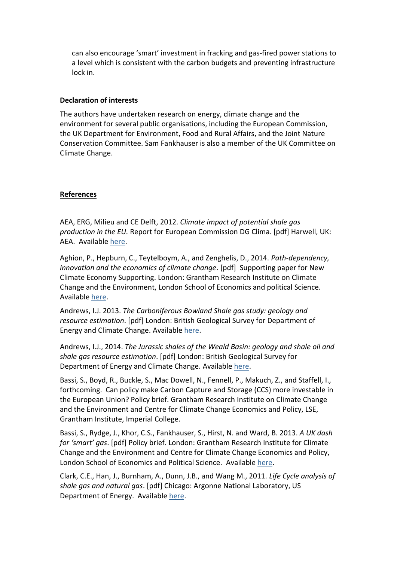can also encourage 'smart' investment in fracking and gas-fired power stations to a level which is consistent with the carbon budgets and preventing infrastructure lock in.

#### **Declaration of interests**

The authors have undertaken research on energy, climate change and the environment for several public organisations, including the European Commission, the UK Department for Environment, Food and Rural Affairs, and the Joint Nature Conservation Committee. Sam Fankhauser is also a member of the UK Committee on Climate Change.

### **References**

AEA, ERG, Milieu and CE Delft, 2012. *Climate impact of potential shale gas production in the EU.* Report for European Commission DG Clima. [pdf] Harwell, UK: AEA. Available [here.](http://ec.europa.eu/clima/policies/eccp/docs/120815_final_report_en.pdf)

Aghion, P., Hepburn, C., Teytelboym, A., and Zenghelis, D., 2014. *Path-dependency, innovation and the economics of climate change*. [pdf] Supporting paper for New Climate Economy Supporting. London: Grantham Research Institute on Climate Change and the Environment, London School of Economics and political Science. Available [here.](http://www.lse.ac.uk/GranthamInstitute/publication/path-dependence-innovation-and-the-economics-of-climate-change/)

Andrews, I.J. 2013. *The Carboniferous Bowland Shale gas study: geology and resource estimation*. [pdf] London: British Geological Survey for Department of Energy and Climate Change. Available [here.](https://www.gov.uk/government/uploads/system/uploads/attachment_data/file/226874/BGS_DECC_BowlandShaleGasReport_MAIN_REPORT.pdf)

Andrews, I.J., 2014. *The Jurassic shales of the Weald Basin: geology and shale oil and shale gas resource estimation*. [pdf] London: British Geological Survey for Department of Energy and Climate Change. Available [here.](https://www.gov.uk/government/uploads/system/uploads/attachment_data/file/313701/BGS_DECC_JurassicWealdShale_study_2014_MAIN_REPORT.pdf)

Bassi, S., Boyd, R., Buckle, S., Mac Dowell, N., Fennell, P., Makuch, Z., and Staffell, I., forthcoming. Can policy make Carbon Capture and Storage (CCS) more investable in the European Union? Policy brief. Grantham Research Institute on Climate Change and the Environment and Centre for Climate Change Economics and Policy, LSE, Grantham Institute, Imperial College.

Bassi, S., Rydge, J., Khor, C.S., Fankhauser, S., Hirst, N. and Ward, B. 2013. *A UK dash for 'smart' gas*. [pdf] Policy brief. London: Grantham Research Institute for Climate Change and the Environment and Centre for Climate Change Economics and Policy, London School of Economics and Political Science. Available [here.](http://www.lse.ac.uk/GranthamInstitute/wp-content/uploads/2014/03/PB-uk-dash-for-smart-gas.pdf)

Clark, C.E., Han, J., Burnham, A., Dunn, J.B., and Wang M., 2011. *Life Cycle analysis of shale gas and natural gas*. [pdf] Chicago: Argonne National Laboratory, US Department of Energy. Availabl[e here.](http://www.transportation.anl.gov/pdfs/EE/813.PDF)